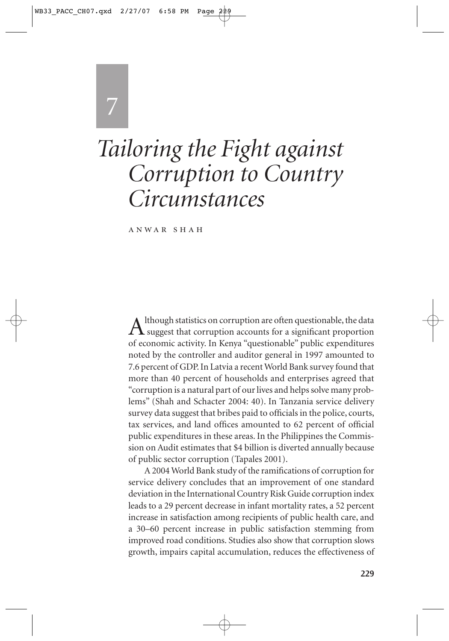7

# *Tailoring the Fight against Corruption to Country Circumstances*

anwar shah

A lthough statistics on corruption are often questionable, the data<br>suggest that corruption accounts for a significant proportion of economic activity. In Kenya "questionable" public expenditures noted by the controller and auditor general in 1997 amounted to 7.6 percent of GDP. In Latvia a recent World Bank survey found that more than 40 percent of households and enterprises agreed that "corruption is a natural part of our lives and helps solve many problems" (Shah and Schacter 2004: 40). In Tanzania service delivery survey data suggest that bribes paid to officials in the police, courts, tax services, and land offices amounted to 62 percent of official public expenditures in these areas. In the Philippines the Commission on Audit estimates that \$4 billion is diverted annually because of public sector corruption (Tapales 2001).

A 2004 World Bank study of the ramifications of corruption for service delivery concludes that an improvement of one standard deviation in the International Country Risk Guide corruption index leads to a 29 percent decrease in infant mortality rates, a 52 percent increase in satisfaction among recipients of public health care, and a 30–60 percent increase in public satisfaction stemming from improved road conditions. Studies also show that corruption slows growth, impairs capital accumulation, reduces the effectiveness of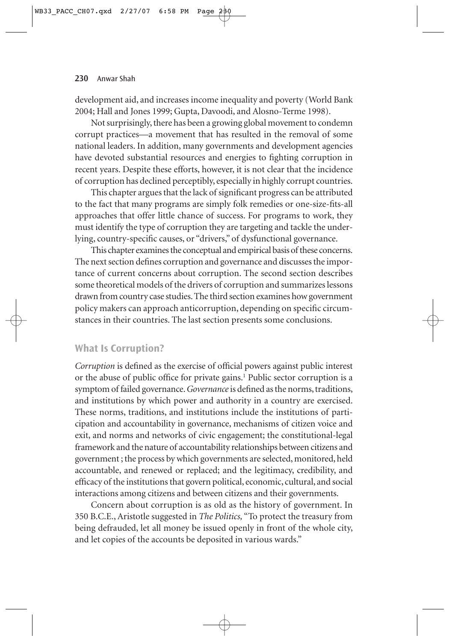development aid, and increases income inequality and poverty (World Bank 2004; Hall and Jones 1999; Gupta, Davoodi, and Alosno-Terme 1998).

Not surprisingly, there has been a growing global movement to condemn corrupt practices—a movement that has resulted in the removal of some national leaders. In addition, many governments and development agencies have devoted substantial resources and energies to fighting corruption in recent years. Despite these efforts, however, it is not clear that the incidence of corruption has declined perceptibly, especially in highly corrupt countries.

This chapter argues that the lack of significant progress can be attributed to the fact that many programs are simply folk remedies or one-size-fits-all approaches that offer little chance of success. For programs to work, they must identify the type of corruption they are targeting and tackle the underlying, country-specific causes, or "drivers," of dysfunctional governance.

This chapter examines the conceptual and empirical basis of these concerns. The next section defines corruption and governance and discusses the importance of current concerns about corruption. The second section describes some theoretical models of the drivers of corruption and summarizes lessons drawn from country case studies. The third section examines how government policy makers can approach anticorruption, depending on specific circumstances in their countries. The last section presents some conclusions.

# **What Is Corruption?**

*Corruption* is defined as the exercise of official powers against public interest or the abuse of public office for private gains.<sup>1</sup> Public sector corruption is a symptom of failed governance.*Governance*is defined as the norms, traditions, and institutions by which power and authority in a country are exercised. These norms, traditions, and institutions include the institutions of participation and accountability in governance, mechanisms of citizen voice and exit, and norms and networks of civic engagement; the constitutional-legal framework and the nature of accountability relationships between citizens and government ; the process by which governments are selected, monitored, held accountable, and renewed or replaced; and the legitimacy, credibility, and efficacy of the institutions that govern political, economic, cultural, and social interactions among citizens and between citizens and their governments.

Concern about corruption is as old as the history of government. In 350 B.C.E., Aristotle suggested in *The Politics,* "To protect the treasury from being defrauded, let all money be issued openly in front of the whole city, and let copies of the accounts be deposited in various wards."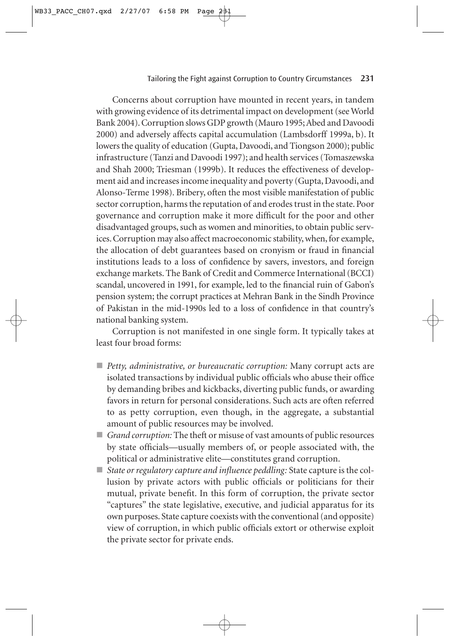Concerns about corruption have mounted in recent years, in tandem with growing evidence of its detrimental impact on development (see World Bank 2004). Corruption slows GDP growth (Mauro 1995; Abed and Davoodi 2000) and adversely affects capital accumulation (Lambsdorff 1999a, b). It lowers the quality of education (Gupta, Davoodi, and Tiongson 2000); public infrastructure (Tanzi and Davoodi 1997); and health services (Tomaszewska and Shah 2000; Triesman (1999b). It reduces the effectiveness of development aid and increases income inequality and poverty (Gupta, Davoodi, and Alonso-Terme 1998). Bribery, often the most visible manifestation of public sector corruption, harms the reputation of and erodes trust in the state. Poor governance and corruption make it more difficult for the poor and other disadvantaged groups, such as women and minorities, to obtain public services. Corruption may also affect macroeconomic stability, when, for example, the allocation of debt guarantees based on cronyism or fraud in financial institutions leads to a loss of confidence by savers, investors, and foreign exchange markets. The Bank of Credit and Commerce International (BCCI) scandal, uncovered in 1991, for example, led to the financial ruin of Gabon's pension system; the corrupt practices at Mehran Bank in the Sindh Province of Pakistan in the mid-1990s led to a loss of confidence in that country's national banking system.

Corruption is not manifested in one single form. It typically takes at least four broad forms:

- **Petty, administrative, or bureaucratic corruption: Many corrupt acts are** isolated transactions by individual public officials who abuse their office by demanding bribes and kickbacks, diverting public funds, or awarding favors in return for personal considerations. Such acts are often referred to as petty corruption, even though, in the aggregate, a substantial amount of public resources may be involved.
- - *Grand corruption:* The theft or misuse of vast amounts of public resources by state officials—usually members of, or people associated with, the political or administrative elite—constitutes grand corruption.
- - *State or regulatory capture and influence peddling:* State capture is the collusion by private actors with public officials or politicians for their mutual, private benefit. In this form of corruption, the private sector "captures" the state legislative, executive, and judicial apparatus for its own purposes. State capture coexists with the conventional (and opposite) view of corruption, in which public officials extort or otherwise exploit the private sector for private ends.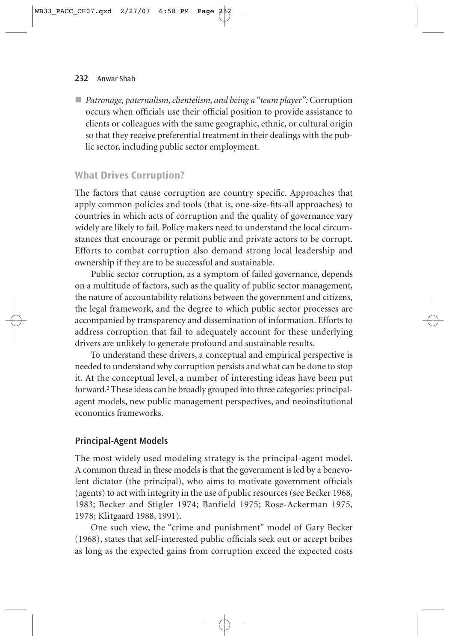- *Patronage, paternalism, clientelism, and being a "team player":* Corruption occurs when officials use their official position to provide assistance to clients or colleagues with the same geographic, ethnic, or cultural origin so that they receive preferential treatment in their dealings with the public sector, including public sector employment.

# **What Drives Corruption?**

The factors that cause corruption are country specific. Approaches that apply common policies and tools (that is, one-size-fits-all approaches) to countries in which acts of corruption and the quality of governance vary widely are likely to fail. Policy makers need to understand the local circumstances that encourage or permit public and private actors to be corrupt. Efforts to combat corruption also demand strong local leadership and ownership if they are to be successful and sustainable.

Public sector corruption, as a symptom of failed governance, depends on a multitude of factors, such as the quality of public sector management, the nature of accountability relations between the government and citizens, the legal framework, and the degree to which public sector processes are accompanied by transparency and dissemination of information. Efforts to address corruption that fail to adequately account for these underlying drivers are unlikely to generate profound and sustainable results.

To understand these drivers, a conceptual and empirical perspective is needed to understand why corruption persists and what can be done to stop it. At the conceptual level, a number of interesting ideas have been put forward.2 These ideas can be broadly grouped into three categories: principalagent models, new public management perspectives, and neoinstitutional economics frameworks.

## **Principal-Agent Models**

The most widely used modeling strategy is the principal-agent model. A common thread in these models is that the government is led by a benevolent dictator (the principal), who aims to motivate government officials (agents) to act with integrity in the use of public resources (see Becker 1968, 1983; Becker and Stigler 1974; Banfield 1975; Rose-Ackerman 1975, 1978; Klitgaard 1988, 1991).

One such view, the "crime and punishment" model of Gary Becker (1968), states that self-interested public officials seek out or accept bribes as long as the expected gains from corruption exceed the expected costs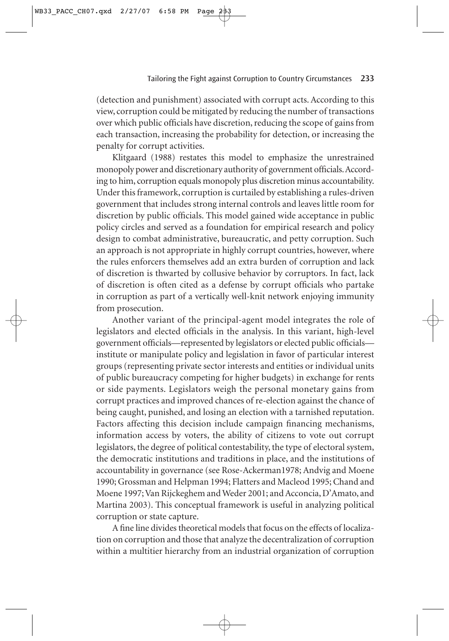(detection and punishment) associated with corrupt acts. According to this view, corruption could be mitigated by reducing the number of transactions over which public officials have discretion, reducing the scope of gains from each transaction, increasing the probability for detection, or increasing the penalty for corrupt activities.

Klitgaard (1988) restates this model to emphasize the unrestrained monopoly power and discretionary authority of government officials.According to him, corruption equals monopoly plus discretion minus accountability. Under this framework, corruption is curtailed by establishing a rules-driven government that includes strong internal controls and leaves little room for discretion by public officials. This model gained wide acceptance in public policy circles and served as a foundation for empirical research and policy design to combat administrative, bureaucratic, and petty corruption. Such an approach is not appropriate in highly corrupt countries, however, where the rules enforcers themselves add an extra burden of corruption and lack of discretion is thwarted by collusive behavior by corruptors. In fact, lack of discretion is often cited as a defense by corrupt officials who partake in corruption as part of a vertically well-knit network enjoying immunity from prosecution.

Another variant of the principal-agent model integrates the role of legislators and elected officials in the analysis. In this variant, high-level government officials—represented by legislators or elected public officials institute or manipulate policy and legislation in favor of particular interest groups (representing private sector interests and entities or individual units of public bureaucracy competing for higher budgets) in exchange for rents or side payments. Legislators weigh the personal monetary gains from corrupt practices and improved chances of re-election against the chance of being caught, punished, and losing an election with a tarnished reputation. Factors affecting this decision include campaign financing mechanisms, information access by voters, the ability of citizens to vote out corrupt legislators, the degree of political contestability, the type of electoral system, the democratic institutions and traditions in place, and the institutions of accountability in governance (see Rose-Ackerman1978; Andvig and Moene 1990; Grossman and Helpman 1994; Flatters and Macleod 1995; Chand and Moene 1997; Van Rijckeghem and Weder 2001; and Acconcia, D'Amato, and Martina 2003). This conceptual framework is useful in analyzing political corruption or state capture.

A fine line divides theoretical models that focus on the effects of localization on corruption and those that analyze the decentralization of corruption within a multitier hierarchy from an industrial organization of corruption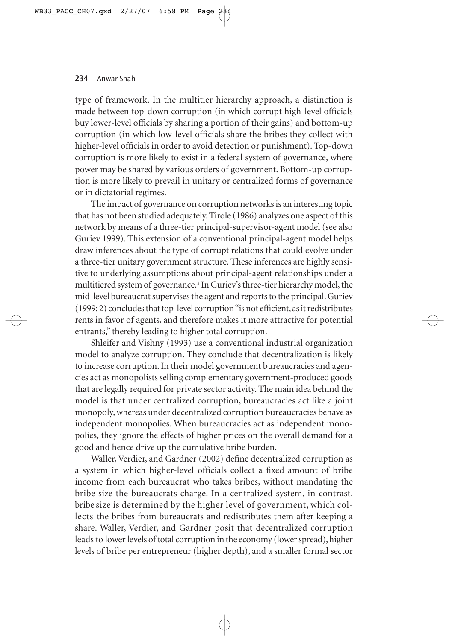type of framework. In the multitier hierarchy approach, a distinction is made between top-down corruption (in which corrupt high-level officials buy lower-level officials by sharing a portion of their gains) and bottom-up corruption (in which low-level officials share the bribes they collect with higher-level officials in order to avoid detection or punishment). Top-down corruption is more likely to exist in a federal system of governance, where power may be shared by various orders of government. Bottom-up corruption is more likely to prevail in unitary or centralized forms of governance or in dictatorial regimes.

The impact of governance on corruption networks is an interesting topic that has not been studied adequately. Tirole (1986) analyzes one aspect of this network by means of a three-tier principal-supervisor-agent model (see also Guriev 1999). This extension of a conventional principal-agent model helps draw inferences about the type of corrupt relations that could evolve under a three-tier unitary government structure. These inferences are highly sensitive to underlying assumptions about principal-agent relationships under a multitiered system of governance.<sup>3</sup> In Guriev's three-tier hierarchy model, the mid-level bureaucrat supervises the agent and reports to the principal. Guriev (1999: 2) concludes that top-level corruption "is not efficient, as it redistributes rents in favor of agents, and therefore makes it more attractive for potential entrants," thereby leading to higher total corruption.

Shleifer and Vishny (1993) use a conventional industrial organization model to analyze corruption. They conclude that decentralization is likely to increase corruption. In their model government bureaucracies and agencies act as monopolists selling complementary government-produced goods that are legally required for private sector activity. The main idea behind the model is that under centralized corruption, bureaucracies act like a joint monopoly, whereas under decentralized corruption bureaucracies behave as independent monopolies. When bureaucracies act as independent monopolies, they ignore the effects of higher prices on the overall demand for a good and hence drive up the cumulative bribe burden.

Waller, Verdier, and Gardner (2002) define decentralized corruption as a system in which higher-level officials collect a fixed amount of bribe income from each bureaucrat who takes bribes, without mandating the bribe size the bureaucrats charge. In a centralized system, in contrast, bribe size is determined by the higher level of government, which collects the bribes from bureaucrats and redistributes them after keeping a share. Waller, Verdier, and Gardner posit that decentralized corruption leads to lower levels of total corruption in the economy (lower spread), higher levels of bribe per entrepreneur (higher depth), and a smaller formal sector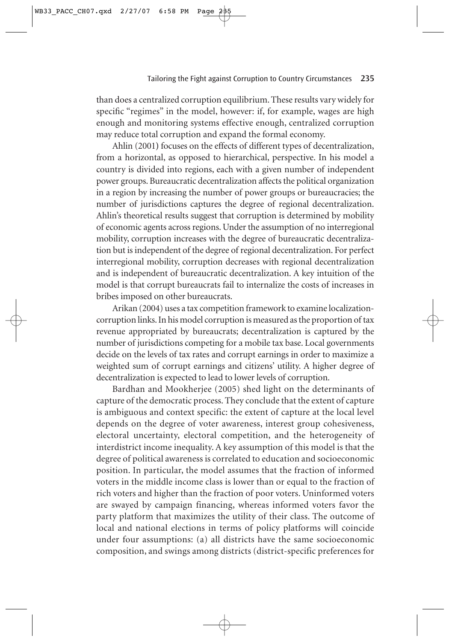than does a centralized corruption equilibrium. These results vary widely for specific "regimes" in the model, however: if, for example, wages are high enough and monitoring systems effective enough, centralized corruption may reduce total corruption and expand the formal economy.

Ahlin (2001**)** focuses on the effects of different types of decentralization, from a horizontal, as opposed to hierarchical, perspective. In his model a country is divided into regions, each with a given number of independent power groups. Bureaucratic decentralization affects the political organization in a region by increasing the number of power groups or bureaucracies; the number of jurisdictions captures the degree of regional decentralization. Ahlin's theoretical results suggest that corruption is determined by mobility of economic agents across regions. Under the assumption of no interregional mobility, corruption increases with the degree of bureaucratic decentralization but is independent of the degree of regional decentralization. For perfect interregional mobility, corruption decreases with regional decentralization and is independent of bureaucratic decentralization. A key intuition of the model is that corrupt bureaucrats fail to internalize the costs of increases in bribes imposed on other bureaucrats.

Arikan (2004) uses a tax competition framework to examine localizationcorruption links. In his model corruption is measured as the proportion of tax revenue appropriated by bureaucrats; decentralization is captured by the number of jurisdictions competing for a mobile tax base. Local governments decide on the levels of tax rates and corrupt earnings in order to maximize a weighted sum of corrupt earnings and citizens' utility. A higher degree of decentralization is expected to lead to lower levels of corruption.

Bardhan and Mookherjee (2005) shed light on the determinants of capture of the democratic process. They conclude that the extent of capture is ambiguous and context specific: the extent of capture at the local level depends on the degree of voter awareness, interest group cohesiveness, electoral uncertainty, electoral competition, and the heterogeneity of interdistrict income inequality. A key assumption of this model is that the degree of political awareness is correlated to education and socioeconomic position. In particular, the model assumes that the fraction of informed voters in the middle income class is lower than or equal to the fraction of rich voters and higher than the fraction of poor voters. Uninformed voters are swayed by campaign financing, whereas informed voters favor the party platform that maximizes the utility of their class. The outcome of local and national elections in terms of policy platforms will coincide under four assumptions: (a) all districts have the same socioeconomic composition, and swings among districts (district-specific preferences for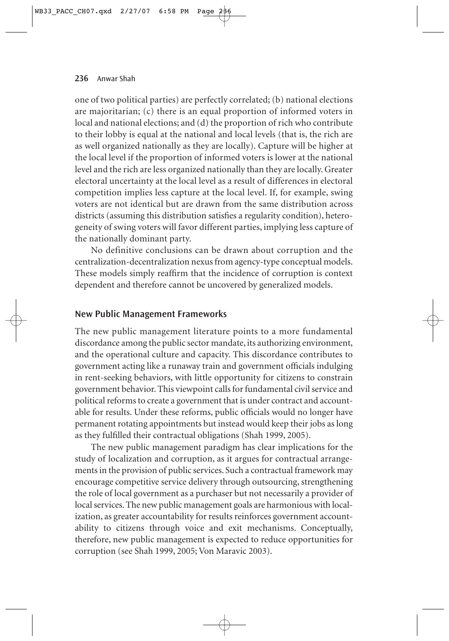one of two political parties) are perfectly correlated; (b) national elections are majoritarian; (c) there is an equal proportion of informed voters in local and national elections; and (d) the proportion of rich who contribute to their lobby is equal at the national and local levels (that is, the rich are as well organized nationally as they are locally). Capture will be higher at the local level if the proportion of informed voters is lower at the national level and the rich are less organized nationally than they are locally. Greater electoral uncertainty at the local level as a result of differences in electoral competition implies less capture at the local level. If, for example, swing voters are not identical but are drawn from the same distribution across districts (assuming this distribution satisfies a regularity condition), heterogeneity of swing voters will favor different parties, implying less capture of the nationally dominant party.

No definitive conclusions can be drawn about corruption and the centralization-decentralization nexus from agency-type conceptual models. These models simply reaffirm that the incidence of corruption is context dependent and therefore cannot be uncovered by generalized models.

## **New Public Management Frameworks**

The new public management literature points to a more fundamental discordance among the public sector mandate, its authorizing environment, and the operational culture and capacity. This discordance contributes to government acting like a runaway train and government officials indulging in rent-seeking behaviors, with little opportunity for citizens to constrain government behavior. This viewpoint calls for fundamental civil service and political reforms to create a government that is under contract and accountable for results. Under these reforms, public officials would no longer have permanent rotating appointments but instead would keep their jobs as long as they fulfilled their contractual obligations (Shah 1999, 2005).

The new public management paradigm has clear implications for the study of localization and corruption, as it argues for contractual arrangements in the provision of public services. Such a contractual framework may encourage competitive service delivery through outsourcing, strengthening the role of local government as a purchaser but not necessarily a provider of local services. The new public management goals are harmonious with localization, as greater accountability for results reinforces government accountability to citizens through voice and exit mechanisms. Conceptually, therefore, new public management is expected to reduce opportunities for corruption (see Shah 1999, 2005; Von Maravic 2003).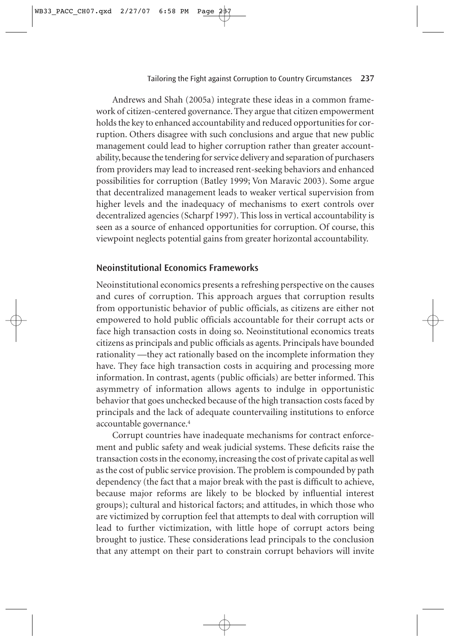Andrews and Shah (2005a) integrate these ideas in a common framework of citizen-centered governance. They argue that citizen empowerment holds the key to enhanced accountability and reduced opportunities for corruption. Others disagree with such conclusions and argue that new public management could lead to higher corruption rather than greater accountability, because the tendering for service delivery and separation of purchasers from providers may lead to increased rent-seeking behaviors and enhanced possibilities for corruption (Batley 1999; Von Maravic 2003). Some argue that decentralized management leads to weaker vertical supervision from higher levels and the inadequacy of mechanisms to exert controls over decentralized agencies (Scharpf 1997). This loss in vertical accountability is seen as a source of enhanced opportunities for corruption. Of course, this viewpoint neglects potential gains from greater horizontal accountability.

# **Neoinstitutional Economics Frameworks**

Neoinstitutional economics presents a refreshing perspective on the causes and cures of corruption. This approach argues that corruption results from opportunistic behavior of public officials, as citizens are either not empowered to hold public officials accountable for their corrupt acts or face high transaction costs in doing so. Neoinstitutional economics treats citizens as principals and public officials as agents. Principals have bounded rationality —they act rationally based on the incomplete information they have. They face high transaction costs in acquiring and processing more information. In contrast, agents (public officials) are better informed. This asymmetry of information allows agents to indulge in opportunistic behavior that goes unchecked because of the high transaction costs faced by principals and the lack of adequate countervailing institutions to enforce accountable governance.4

Corrupt countries have inadequate mechanisms for contract enforcement and public safety and weak judicial systems. These deficits raise the transaction costs in the economy, increasing the cost of private capital as well as the cost of public service provision. The problem is compounded by path dependency (the fact that a major break with the past is difficult to achieve, because major reforms are likely to be blocked by influential interest groups); cultural and historical factors; and attitudes, in which those who are victimized by corruption feel that attempts to deal with corruption will lead to further victimization, with little hope of corrupt actors being brought to justice. These considerations lead principals to the conclusion that any attempt on their part to constrain corrupt behaviors will invite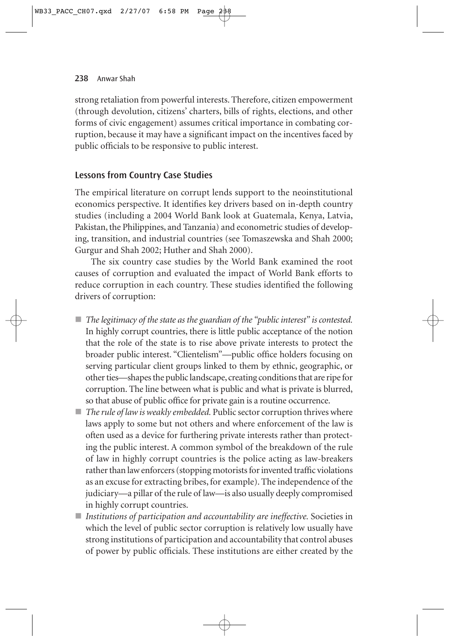strong retaliation from powerful interests. Therefore, citizen empowerment (through devolution, citizens' charters, bills of rights, elections, and other forms of civic engagement) assumes critical importance in combating corruption, because it may have a significant impact on the incentives faced by public officials to be responsive to public interest.

## **Lessons from Country Case Studies**

The empirical literature on corrupt lends support to the neoinstitutional economics perspective. It identifies key drivers based on in-depth country studies (including a 2004 World Bank look at Guatemala, Kenya, Latvia, Pakistan, the Philippines, and Tanzania) and econometric studies of developing, transition, and industrial countries (see Tomaszewska and Shah 2000; Gurgur and Shah 2002; Huther and Shah 2000).

The six country case studies by the World Bank examined the root causes of corruption and evaluated the impact of World Bank efforts to reduce corruption in each country. These studies identified the following drivers of corruption:

- *The legitimacy of the state as the guardian of the "public interest" is contested.* In highly corrupt countries, there is little public acceptance of the notion that the role of the state is to rise above private interests to protect the broader public interest. "Clientelism"—public office holders focusing on serving particular client groups linked to them by ethnic, geographic, or other ties—shapes the public landscape, creating conditions that are ripe for corruption. The line between what is public and what is private is blurred, so that abuse of public office for private gain is a routine occurrence.
- *The rule of law is weakly embedded*. Public sector corruption thrives where laws apply to some but not others and where enforcement of the law is often used as a device for furthering private interests rather than protecting the public interest. A common symbol of the breakdown of the rule of law in highly corrupt countries is the police acting as law-breakers rather than law enforcers (stopping motorists for invented traffic violations as an excuse for extracting bribes, for example). The independence of the judiciary—a pillar of the rule of law—is also usually deeply compromised in highly corrupt countries.
- *Institutions of participation and accountability are ineffective.* Societies in which the level of public sector corruption is relatively low usually have strong institutions of participation and accountability that control abuses of power by public officials. These institutions are either created by the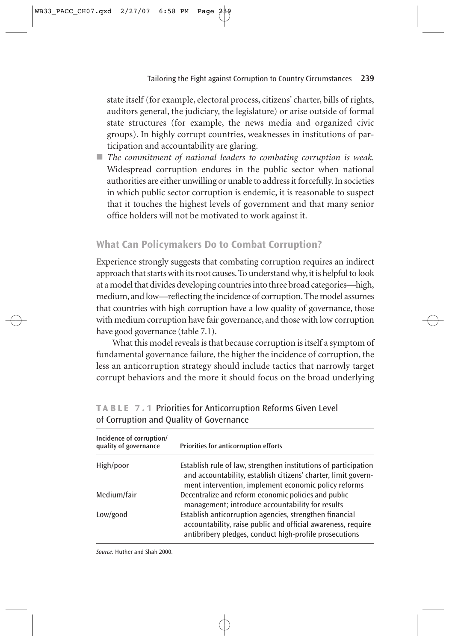state itself (for example, electoral process, citizens' charter, bills of rights, auditors general, the judiciary, the legislature) or arise outside of formal state structures (for example, the news media and organized civic groups). In highly corrupt countries, weaknesses in institutions of participation and accountability are glaring.

 $\blacksquare$  The commitment of national leaders to combating corruption is weak. Widespread corruption endures in the public sector when national authorities are either unwilling or unable to address it forcefully. In societies in which public sector corruption is endemic, it is reasonable to suspect that it touches the highest levels of government and that many senior office holders will not be motivated to work against it.

# **What Can Policymakers Do to Combat Corruption?**

Experience strongly suggests that combating corruption requires an indirect approach that starts with its root causes.To understand why,it is helpful to look at a model that divides developing countries into three broad categories—high, medium,and low—reflecting the incidence of corruption.The model assumes that countries with high corruption have a low quality of governance, those with medium corruption have fair governance, and those with low corruption have good governance (table 7.1).

What this model reveals is that because corruption is itself a symptom of fundamental governance failure, the higher the incidence of corruption, the less an anticorruption strategy should include tactics that narrowly target corrupt behaviors and the more it should focus on the broad underlying

| Incidence of corruption/<br>quality of governance | Priorities for anticorruption efforts                                                                                                                                                     |
|---------------------------------------------------|-------------------------------------------------------------------------------------------------------------------------------------------------------------------------------------------|
| High/poor                                         | Establish rule of law, strengthen institutions of participation<br>and accountability, establish citizens' charter, limit govern-<br>ment intervention, implement economic policy reforms |
| Medium/fair                                       | Decentralize and reform economic policies and public<br>management; introduce accountability for results                                                                                  |
| Low/good                                          | Establish anticorruption agencies, strengthen financial<br>accountability, raise public and official awareness, require<br>antibribery pledges, conduct high-profile prosecutions         |

|  |  | TABLE 7.1 Priorities for Anticorruption Reforms Given Level |  |  |
|--|--|-------------------------------------------------------------|--|--|
|  |  | of Corruption and Quality of Governance                     |  |  |

*Source:* Huther and Shah 2000.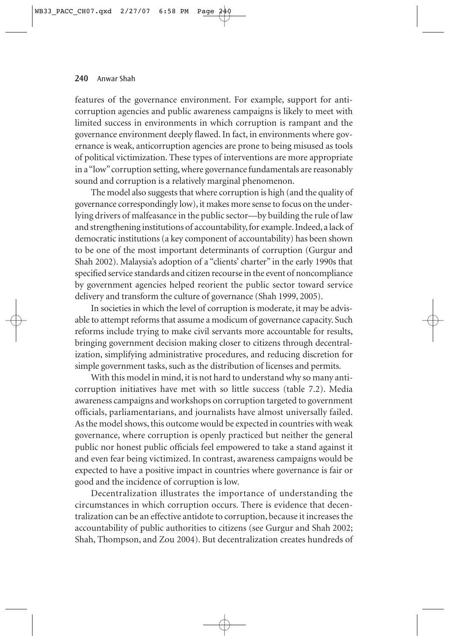features of the governance environment. For example, support for anticorruption agencies and public awareness campaigns is likely to meet with limited success in environments in which corruption is rampant and the governance environment deeply flawed. In fact, in environments where governance is weak, anticorruption agencies are prone to being misused as tools of political victimization. These types of interventions are more appropriate in a "low"corruption setting, where governance fundamentals are reasonably sound and corruption is a relatively marginal phenomenon.

The model also suggests that where corruption is high (and the quality of governance correspondingly low), it makes more sense to focus on the underlying drivers of malfeasance in the public sector—by building the rule of law and strengthening institutions of accountability, for example. Indeed, a lack of democratic institutions (a key component of accountability) has been shown to be one of the most important determinants of corruption (Gurgur and Shah 2002). Malaysia's adoption of a "clients' charter" in the early 1990s that specified service standards and citizen recourse in the event of noncompliance by government agencies helped reorient the public sector toward service delivery and transform the culture of governance (Shah 1999, 2005).

In societies in which the level of corruption is moderate, it may be advisable to attempt reforms that assume a modicum of governance capacity. Such reforms include trying to make civil servants more accountable for results, bringing government decision making closer to citizens through decentralization, simplifying administrative procedures, and reducing discretion for simple government tasks, such as the distribution of licenses and permits.

With this model in mind, it is not hard to understand why so many anticorruption initiatives have met with so little success (table 7.2). Media awareness campaigns and workshops on corruption targeted to government officials, parliamentarians, and journalists have almost universally failed. As the model shows, this outcome would be expected in countries with weak governance, where corruption is openly practiced but neither the general public nor honest public officials feel empowered to take a stand against it and even fear being victimized. In contrast, awareness campaigns would be expected to have a positive impact in countries where governance is fair or good and the incidence of corruption is low.

Decentralization illustrates the importance of understanding the circumstances in which corruption occurs. There is evidence that decentralization can be an effective antidote to corruption, because it increases the accountability of public authorities to citizens (see Gurgur and Shah 2002; Shah, Thompson, and Zou 2004). But decentralization creates hundreds of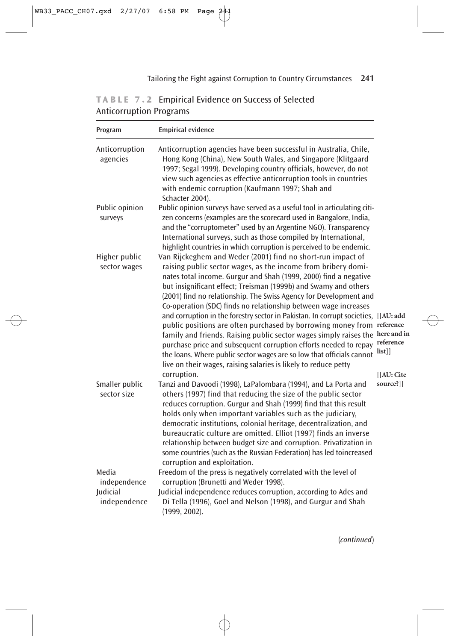# **TABLE 7.2** Empirical Evidence on Success of Selected Anticorruption Programs

| Program                                           | <b>Empirical evidence</b>                                                                                                                                                                                                                                                                                                                                                                                                                                                                                                                                                                                                                                                                                                                                                                                                                                             |           |
|---------------------------------------------------|-----------------------------------------------------------------------------------------------------------------------------------------------------------------------------------------------------------------------------------------------------------------------------------------------------------------------------------------------------------------------------------------------------------------------------------------------------------------------------------------------------------------------------------------------------------------------------------------------------------------------------------------------------------------------------------------------------------------------------------------------------------------------------------------------------------------------------------------------------------------------|-----------|
| Anticorruption<br>agencies                        | Anticorruption agencies have been successful in Australia, Chile,<br>Hong Kong (China), New South Wales, and Singapore (Klitgaard<br>1997; Segal 1999). Developing country officials, however, do not<br>view such agencies as effective anticorruption tools in countries<br>with endemic corruption (Kaufmann 1997; Shah and<br>Schacter 2004).                                                                                                                                                                                                                                                                                                                                                                                                                                                                                                                     |           |
| Public opinion<br>surveys                         | Public opinion surveys have served as a useful tool in articulating citi-<br>zen concerns (examples are the scorecard used in Bangalore, India,<br>and the "corruptometer" used by an Argentine NGO). Transparency<br>International surveys, such as those compiled by International,<br>highlight countries in which corruption is perceived to be endemic.                                                                                                                                                                                                                                                                                                                                                                                                                                                                                                          |           |
| Higher public<br>sector wages                     | Van Rijckeghem and Weder (2001) find no short-run impact of<br>raising public sector wages, as the income from bribery domi-<br>nates total income. Gurgur and Shah (1999, 2000) find a negative<br>but insignificant effect; Treisman (1999b) and Swamy and others<br>(2001) find no relationship. The Swiss Agency for Development and<br>Co-operation (SDC) finds no relationship between wage increases<br>and corruption in the forestry sector in Pakistan. In corrupt societies, [[.<br>public positions are often purchased by borrowing money from re<br>family and friends. Raising public sector wages simply raises the he<br>purchase price and subsequent corruption efforts needed to repay<br>the loans. Where public sector wages are so low that officials cannot<br>live on their wages, raising salaries is likely to reduce petty<br>corruption. | lis<br>[  |
| Smaller public<br>sector size                     | Tanzi and Davoodi (1998), LaPalombara (1994), and La Porta and<br>others (1997) find that reducing the size of the public sector<br>reduces corruption. Gurgur and Shah (1999) find that this result<br>holds only when important variables such as the judiciary,<br>democratic institutions, colonial heritage, decentralization, and<br>bureaucratic culture are omitted. Elliot (1997) finds an inverse<br>relationship between budget size and corruption. Privatization in<br>some countries (such as the Russian Federation) has led toincreased<br>corruption and exploitation.                                                                                                                                                                                                                                                                               | <b>SO</b> |
| Media<br>independence<br>Judicial<br>independence | Freedom of the press is negatively correlated with the level of<br>corruption (Brunetti and Weder 1998).<br>Judicial independence reduces corruption, according to Ades and<br>Di Tella (1996), Goel and Nelson (1998), and Gurgur and Shah<br>(1999, 2002).                                                                                                                                                                                                                                                                                                                                                                                                                                                                                                                                                                                                          |           |

**[[AU: add reference here and in reference list]]**

**[[AU: Cite source?]]**

(*continued*)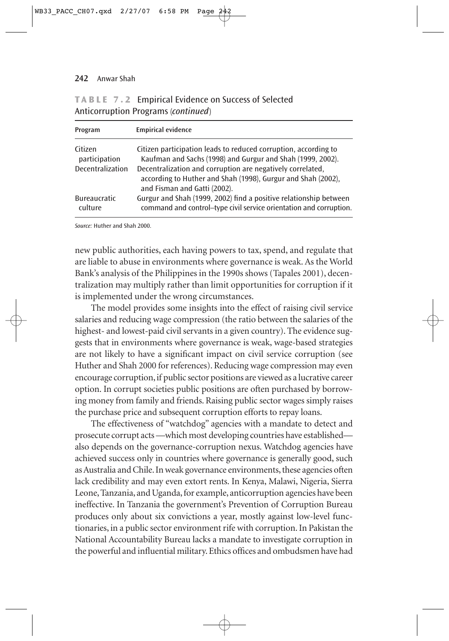|  |                                     | <b>TABLE 7.2 Empirical Evidence on Success of Selected</b> |
|--|-------------------------------------|------------------------------------------------------------|
|  | Anticorruption Programs (continued) |                                                            |

| Program             | <b>Empirical evidence</b>                                                                                                                                  |
|---------------------|------------------------------------------------------------------------------------------------------------------------------------------------------------|
| Citizen             | Citizen participation leads to reduced corruption, according to                                                                                            |
| participation       | Kaufman and Sachs (1998) and Gurgur and Shah (1999, 2002).                                                                                                 |
| Decentralization    | Decentralization and corruption are negatively correlated,<br>according to Huther and Shah (1998), Gurgur and Shah (2002),<br>and Fisman and Gatti (2002). |
| <b>Bureaucratic</b> | Gurgur and Shah (1999, 2002) find a positive relationship between                                                                                          |
| culture             | command and control-type civil service orientation and corruption.                                                                                         |

*Source:* Huther and Shah 2000.

new public authorities, each having powers to tax, spend, and regulate that are liable to abuse in environments where governance is weak. As the World Bank's analysis of the Philippines in the 1990s shows (Tapales 2001), decentralization may multiply rather than limit opportunities for corruption if it is implemented under the wrong circumstances.

The model provides some insights into the effect of raising civil service salaries and reducing wage compression (the ratio between the salaries of the highest- and lowest-paid civil servants in a given country). The evidence suggests that in environments where governance is weak, wage-based strategies are not likely to have a significant impact on civil service corruption (see Huther and Shah 2000 for references). Reducing wage compression may even encourage corruption, if public sector positions are viewed as a lucrative career option. In corrupt societies public positions are often purchased by borrowing money from family and friends. Raising public sector wages simply raises the purchase price and subsequent corruption efforts to repay loans.

The effectiveness of "watchdog" agencies with a mandate to detect and prosecute corrupt acts —which most developing countries have established also depends on the governance-corruption nexus. Watchdog agencies have achieved success only in countries where governance is generally good, such as Australia and Chile. In weak governance environments, these agencies often lack credibility and may even extort rents. In Kenya, Malawi, Nigeria, Sierra Leone, Tanzania, and Uganda, for example, anticorruption agencies have been ineffective. In Tanzania the government's Prevention of Corruption Bureau produces only about six convictions a year, mostly against low-level functionaries, in a public sector environment rife with corruption. In Pakistan the National Accountability Bureau lacks a mandate to investigate corruption in the powerful and influential military. Ethics offices and ombudsmen have had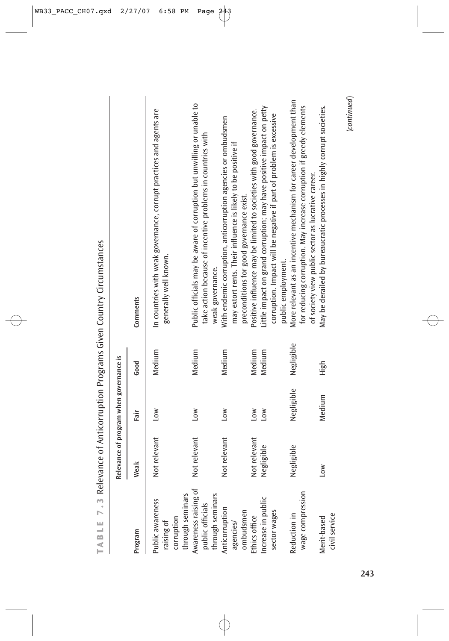| ï                                                                                                                                                   |
|-----------------------------------------------------------------------------------------------------------------------------------------------------|
| ׇ֚֚֚֡                                                                                                                                               |
| ֖֖֖֪ׅ֪ׅ֪֪ׅ֪֪֪ׅ֪֪ׅ֪֪֪ׅ֪֪֪ׅ֚֚֚֚֚֚֚֚֬֝֝֬֝֬֝֓֓֓֬֝֬<br>Í                                                                                                 |
| ֧֖֧֢ׅ֧֧ׅ֧֧֧֧֧֧֧֧֚֚֚֚֚֚֚֚֚֚֚֚֚֚֚֚֚֝֝֓֝֬֝֬֓֝֬֝֬֝֬֝֬֝֬֝֬֝֬<br>֧֧֧֧֧֧֧֧֧֧ׅ֧֧֧֧֧֚֚֚֚֚֚֚֚֚֚֚֚֚֚֚֚֝֝֝֝֬֩֩֩<br>֧֪֧֪֧֪֪֪֪֪֪֪֪֪֪֪֪֪֪֪֪֪֪֪֪֪֪֪֪֪֪ׅ֝֬<br>١<br>I |
| ֧֧֧֦֧֚֚֚֚֚֚֚֚֚֚֚֚֝֝֓֓֝֬֝֓֝֬֓ <b>֓</b>                                                                                                               |
| I                                                                                                                                                   |
| ŧ<br>j                                                                                                                                              |
| I<br>$\begin{array}{c} \hline \end{array}$<br>ŀ                                                                                                     |

|                                                                  | Relevance of program when governance is |            |            |                                                                                                                                                                                                  |
|------------------------------------------------------------------|-----------------------------------------|------------|------------|--------------------------------------------------------------------------------------------------------------------------------------------------------------------------------------------------|
| Program                                                          | Weak                                    | Fair       | Good       | Comments                                                                                                                                                                                         |
| through seminars<br>Public awareness<br>corruption<br>raising of | Not relevant                            | Low        | Medium     | In countries with weak governance, corrupt practices and agents are<br>generally well known.                                                                                                     |
| Awareness raising of<br>through seminars<br>public officials     | Not relevant                            | $\geq$     | Medium     | Public officials may be aware of corruption but unwilling or unable to<br>take action because of incentive problems in countries with<br>weak governance.                                        |
| Anticorruption<br>ombudsmen<br>agencies/                         | Not relevant                            | Low        | Medium     | With endemic corruption, anticorruption agencies or ombudsmen<br>may extort rents. Their influence is likely to be positive if<br>preconditions for good governance exist.                       |
| Ethics office                                                    | Not relevant                            | $\geq$     | Medium     | Positive influence may be limited to societies with good governance.                                                                                                                             |
| Increase in public<br>sector wages                               | Negligible                              | <b>NOT</b> | Medium     | Little impact on grand corruption; may have positive impact on petty<br>corruption. Impact will be negative if part of problem is excessive<br>public employment.                                |
| wage compression<br>Reduction in                                 | Negligible                              | Negligible | Negligible | More relevant as an incentive mechanism for career development than<br>for reducing corruption. May increase corruption if greedy elements<br>of society view public sector as lucrative career. |
| civil service<br>Merit-based                                     | $\approx$                               | Medium     | High       | May be derailed by bureaucratic processes in highly corrupt societies.                                                                                                                           |

I

(*continued*)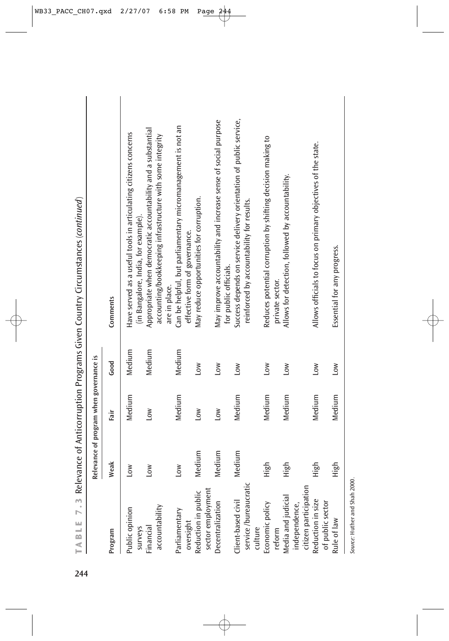| j                                                                     |
|-----------------------------------------------------------------------|
|                                                                       |
|                                                                       |
|                                                                       |
|                                                                       |
| $\overline{\phantom{a}}$                                              |
|                                                                       |
| l                                                                     |
|                                                                       |
| i                                                                     |
|                                                                       |
| I                                                                     |
|                                                                       |
| l                                                                     |
|                                                                       |
|                                                                       |
| )<br>J                                                                |
|                                                                       |
|                                                                       |
|                                                                       |
|                                                                       |
| Ï                                                                     |
|                                                                       |
|                                                                       |
|                                                                       |
|                                                                       |
| ١                                                                     |
|                                                                       |
| ļ                                                                     |
|                                                                       |
|                                                                       |
|                                                                       |
|                                                                       |
|                                                                       |
|                                                                       |
|                                                                       |
|                                                                       |
|                                                                       |
|                                                                       |
|                                                                       |
|                                                                       |
|                                                                       |
| ֖֖֖֖֪ׅ֖֖ׅ֪ׅ֖֧֪ׅ֖֧ׅ֪֪ׅ֪֪֪ׅ֧֚֚֚֚֚֚֚֚֚֚֚֚֚֚֚֚֚֚֚֚֚֚֚֚֚֚֡֝֝֝֝֝֝֓֞֝֬֓֞֓֞֝֬ |
|                                                                       |
|                                                                       |
|                                                                       |
|                                                                       |
| l                                                                     |
| N                                                                     |
|                                                                       |
| J                                                                     |
|                                                                       |
| ļ                                                                     |
|                                                                       |
| l                                                                     |
| d                                                                     |
| ⊨                                                                     |

|                                          | Relevance of program when governance is |                 |                       |                                                                                                        |
|------------------------------------------|-----------------------------------------|-----------------|-----------------------|--------------------------------------------------------------------------------------------------------|
| Program                                  | Weak                                    | Fair            | Good                  | Comments                                                                                               |
| Public opinion                           | $\geq$                                  | Medium          | Medium                | Have served as a useful tools in articulating citizens concerns<br>(in Bangalore, India, for example). |
| surveys<br>Financial                     | <b>MOT</b>                              | <b>NOT</b>      | Medium                | Appropriate when democratic accountability and a substantial                                           |
| accountability                           |                                         |                 |                       | accounting/bookkeeping infrastructure with some integrity<br>are in place.                             |
| Parliamentary                            | ΜO                                      | Medium          | Medium                | Can be helpful, but parliamentary micromanagement is not an                                            |
| oversight                                |                                         |                 |                       | effective form of governance.                                                                          |
| Reduction in public<br>sector employment | Medium                                  | VO <sub>7</sub> | VO <sub>7</sub>       | May reduce opportunities for corruption.                                                               |
| Decentralization                         | Medium                                  | <b>NOT</b>      | $\geq$                | May improve accountability and increase sense of social purpose                                        |
|                                          |                                         |                 |                       | for public officials.                                                                                  |
| Client-based civil                       | Medium                                  | Medium          | $\overline{\text{C}}$ | Success depends on service delivery orientation of public service,                                     |
| service/bureaucratic                     |                                         |                 |                       | reinforced by accountability for results.                                                              |
| culture                                  |                                         |                 |                       |                                                                                                        |
| Economic policy                          | High                                    | Medium          | <b>NOT</b>            | Reduces potential corruption by shifting decision making to                                            |
| reform                                   |                                         |                 |                       | private sector.                                                                                        |
| Media and judicial                       | High                                    | Medium          | <b>NOT</b>            | Allows for detection, followed by accountability.                                                      |
| independence,<br>citizen participation   |                                         |                 |                       |                                                                                                        |
|                                          |                                         |                 |                       |                                                                                                        |
| Reduction in size                        | High                                    | Medium          | Ιoν                   | Allows officials to focus on primary objectives of the state.                                          |
| of public sector                         |                                         |                 |                       |                                                                                                        |
| Rule of law                              | High                                    | Medium          | Low                   | Essential for any progress.                                                                            |
| Carrier Handle and Charles DOOO          |                                         |                 |                       |                                                                                                        |

 $\mathfrak{\mathfrak{p}}$ 

Source: Huther and Shah 2000. *Source:* Huther and Shah 2000.

**244**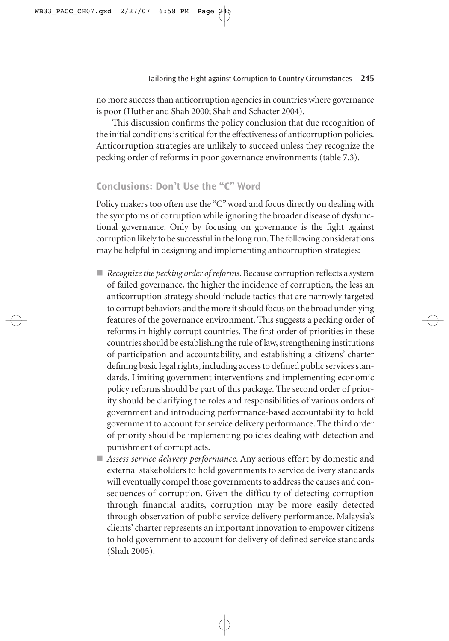no more success than anticorruption agencies in countries where governance is poor (Huther and Shah 2000; Shah and Schacter 2004).

This discussion confirms the policy conclusion that due recognition of the initial conditions is critical for the effectiveness of anticorruption policies. Anticorruption strategies are unlikely to succeed unless they recognize the pecking order of reforms in poor governance environments (table 7.3).

# **Conclusions: Don't Use the "C" Word**

Policy makers too often use the "C" word and focus directly on dealing with the symptoms of corruption while ignoring the broader disease of dysfunctional governance. Only by focusing on governance is the fight against corruption likely to be successful in the long run. The following considerations may be helpful in designing and implementing anticorruption strategies:

- **Recognize the pecking order of reforms. Because corruption reflects a system** of failed governance, the higher the incidence of corruption, the less an anticorruption strategy should include tactics that are narrowly targeted to corrupt behaviors and the more it should focus on the broad underlying features of the governance environment. This suggests a pecking order of reforms in highly corrupt countries. The first order of priorities in these countries should be establishing the rule of law, strengthening institutions of participation and accountability, and establishing a citizens' charter defining basic legal rights, including access to defined public services standards. Limiting government interventions and implementing economic policy reforms should be part of this package. The second order of priority should be clarifying the roles and responsibilities of various orders of government and introducing performance-based accountability to hold government to account for service delivery performance. The third order of priority should be implementing policies dealing with detection and punishment of corrupt acts.
- *Assess service delivery performance*. Any serious effort by domestic and external stakeholders to hold governments to service delivery standards will eventually compel those governments to address the causes and consequences of corruption. Given the difficulty of detecting corruption through financial audits, corruption may be more easily detected through observation of public service delivery performance. Malaysia's clients' charter represents an important innovation to empower citizens to hold government to account for delivery of defined service standards (Shah 2005).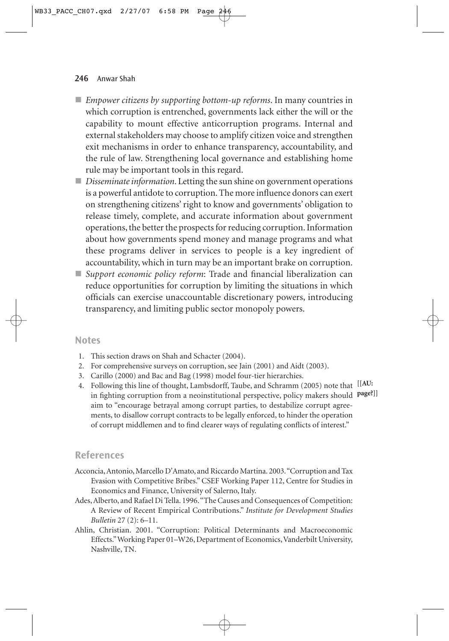- *Empower citizens by supporting bottom-up reforms*. In many countries in which corruption is entrenched, governments lack either the will or the capability to mount effective anticorruption programs. Internal and external stakeholders may choose to amplify citizen voice and strengthen exit mechanisms in order to enhance transparency, accountability, and the rule of law. Strengthening local governance and establishing home rule may be important tools in this regard.

**Disseminate information.** Letting the sun shine on government operations is a powerful antidote to corruption. The more influence donors can exert on strengthening citizens' right to know and governments' obligation to release timely, complete, and accurate information about government operations, the better the prospects for reducing corruption. Information about how governments spend money and manage programs and what these programs deliver in services to people is a key ingredient of accountability, which in turn may be an important brake on corruption.

- *Support economic policy reform*: Trade and financial liberalization can reduce opportunities for corruption by limiting the situations in which officials can exercise unaccountable discretionary powers, introducing transparency, and limiting public sector monopoly powers.

## **Notes**

- 1. This section draws on Shah and Schacter (2004).
- 2. For comprehensive surveys on corruption, see Jain (2001) and Aidt (2003).
- 3. Carillo (2000) and Bac and Bag (1998) model four-tier hierarchies.
- 4. Following this line of thought, Lambsdorff, Taube, and Schramm (2005) note that **[[AU:** in fighting corruption from a neoinstitutional perspective, policy makers should **page?]]** aim to "encourage betrayal among corrupt parties, to destabilize corrupt agreements, to disallow corrupt contracts to be legally enforced, to hinder the operation of corrupt middlemen and to find clearer ways of regulating conflicts of interest."

## **References**

- Acconcia, Antonio, Marcello D'Amato, and Riccardo Martina. 2003."Corruption and Tax Evasion with Competitive Bribes." CSEF Working Paper 112, Centre for Studies in Economics and Finance, University of Salerno, Italy.
- Ades, Alberto, and Rafael Di Tella. 1996."The Causes and Consequences of Competition: A Review of Recent Empirical Contributions." *Institute for Development Studies Bulletin* 27 (2): 6–11.
- Ahlin, Christian. 2001. "Corruption: Political Determinants and Macroeconomic Effects."Working Paper 01–W26, Department of Economics,Vanderbilt University, Nashville, TN.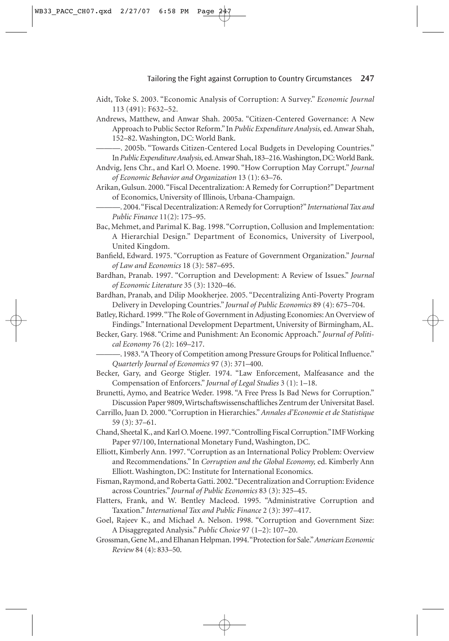- Aidt, Toke S. 2003. "Economic Analysis of Corruption: A Survey." *Economic Journal* 113 (491): F632–52.
- Andrews, Matthew, and Anwar Shah. 2005a. "Citizen-Centered Governance: A New Approach to Public Sector Reform." In *Public Expenditure Analysis,* ed. Anwar Shah, 152–82. Washington, DC: World Bank.
	- ———. 2005b. "Towards Citizen-Centered Local Budgets in Developing Countries." In *Public Expenditure Analysis,* ed.Anwar Shah,183–216.Washington,DC:World Bank.

Andvig, Jens Chr., and Karl O. Moene. 1990. "How Corruption May Corrupt." *Journal of Economic Behavior and Organization* 13 (1): 63–76.

- Arikan, Gulsun. 2000."Fiscal Decentralization: A Remedy for Corruption?" Department of Economics, University of Illinois, Urbana-Champaign.
	- ———. 2004."Fiscal Decentralization: A Remedy for Corruption?" *International Tax and Public Finance* 11(2): 175–95.
- Bac, Mehmet, and Parimal K. Bag. 1998."Corruption, Collusion and Implementation: A Hierarchial Design." Department of Economics, University of Liverpool, United Kingdom.
- Banfield, Edward. 1975. "Corruption as Feature of Government Organization." *Journal of Law and Economics* 18 (3): 587–695.
- Bardhan, Pranab. 1997. "Corruption and Development: A Review of Issues." *Journal of Economic Literature* 35 (3): 1320–46.
- Bardhan, Pranab, and Dilip Mookherjee. 2005. "Decentralizing Anti-Poverty Program Delivery in Developing Countries." *Journal of Public Economics* 89 (4): 675–704.
- Batley, Richard. 1999."The Role of Government in Adjusting Economies: An Overview of Findings." International Development Department, University of Birmingham, AL.
- Becker, Gary. 1968. "Crime and Punishment: An Economic Approach." *Journal of Political Economy* 76 (2): 169–217.
	- -. 1983. "A Theory of Competition among Pressure Groups for Political Influence." *Quarterly Journal of Economics* 97 (3): 371–400.
- Becker, Gary, and George Stigler. 1974. "Law Enforcement, Malfeasance and the Compensation of Enforcers." *Journal of Legal Studies* 3 (1): 1–18.
- Brunetti, Aymo, and Beatrice Weder. 1998. "A Free Press Is Bad News for Corruption." Discussion Paper 9809,Wirtschaftswissenschaftliches Zentrum der Universitat Basel.
- Carrillo, Juan D. 2000. "Corruption in Hierarchies." *Annales d'Economie et de Statistique* 59 (3): 37–61.
- Chand, Sheetal K., and Karl O. Moene. 1997."Controlling Fiscal Corruption."IMF Working Paper 97/100, International Monetary Fund, Washington, DC.
- Elliott, Kimberly Ann. 1997. "Corruption as an International Policy Problem: Overview and Recommendations." In *Corruption and the Global Economy,* ed. Kimberly Ann Elliott. Washington, DC: Institute for International Economics.
- Fisman, Raymond, and Roberta Gatti. 2002."Decentralization and Corruption: Evidence across Countries." *Journal of Public Economics* 83 (3): 325–45.
- Flatters, Frank, and W. Bentley Macleod. 1995. "Administrative Corruption and Taxation." *International Tax and Public Finance* 2 (3): 397–417.
- Goel, Rajeev K., and Michael A. Nelson. 1998. "Corruption and Government Size: A Disaggregated Analysis." *Public Choice* 97 (1–2): 107–20.
- Grossman, Gene M., and Elhanan Helpman. 1994."Protection for Sale."*American Economic Review* 84 (4): 833–50.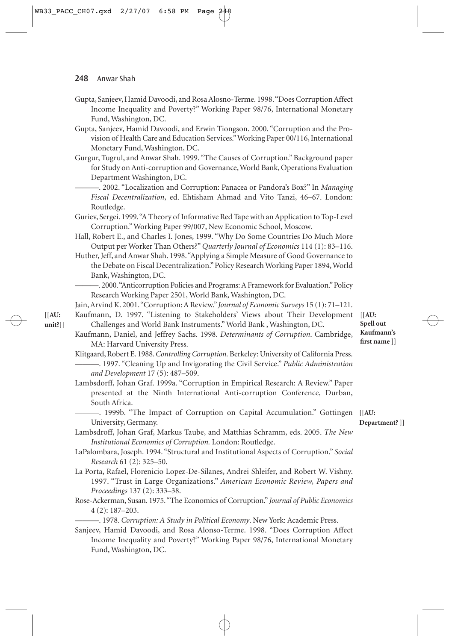- Gupta, Sanjeev, Hamid Davoodi, and Rosa Alosno-Terme. 1998."Does Corruption Affect Income Inequality and Poverty?" Working Paper 98/76, International Monetary Fund, Washington, DC.
- Gupta, Sanjeev, Hamid Davoodi, and Erwin Tiongson. 2000. "Corruption and the Provision of Health Care and Education Services."Working Paper 00/116, International Monetary Fund, Washington, DC.
- Gurgur, Tugrul, and Anwar Shah. 1999. "The Causes of Corruption." Background paper for Study on Anti-corruption and Governance, World Bank, Operations Evaluation Department Washington, DC.
	- ———. 2002. "Localization and Corruption: Panacea or Pandora's Box?" In *Managing Fiscal Decentralization*, ed. Ehtisham Ahmad and Vito Tanzi, 46–67. London: Routledge.
- Guriev, Sergei. 1999."A Theory of Informative Red Tape with an Application to Top-Level Corruption." Working Paper 99/007, New Economic School, Moscow.
- Hall, Robert E., and Charles I. Jones, 1999. "Why Do Some Countries Do Much More Output per Worker Than Others?" *Quarterly Journal of Economics* 114 (1): 83–116.
- Huther, Jeff, and Anwar Shah. 1998."Applying a Simple Measure of Good Governance to the Debate on Fiscal Decentralization." Policy Research Working Paper 1894, World Bank, Washington, DC.
	- ———. 2000."Anticorruption Policies and Programs: A Framework for Evaluation."Policy Research Working Paper 2501, World Bank, Washington, DC.
- Jain, Arvind K. 2001."Corruption: A Review." *Journal of Economic Surveys* 15 (1): 71–121.

Kaufmann, D. 1997. "Listening to Stakeholders' Views about Their Development

- Challenges and World Bank Instruments." World Bank , Washington, DC. Kaufmann, Daniel, and Jeffrey Sachs. 1998. *Determinants of Corruption*. Cambridge, MA: Harvard University Press.
- Klitgaard, Robert E. 1988.*Controlling Corruption.* Berkeley: University of California Press. ———. 1997. "Cleaning Up and Invigorating the Civil Service." *Public Administration and Development* 17 (5): 487–509.
- Lambsdorff, Johan Graf. 1999a. "Corruption in Empirical Research: A Review." Paper presented at the Ninth International Anti-corruption Conference, Durban, South Africa.
- ———. 1999b. "The Impact of Corruption on Capital Accumulation." Gottingen **[[AU:** University, Germany. **Department? ]]**
- Lambsdroff, Johan Graf, Markus Taube, and Matthias Schramm, eds. 2005. *The New Institutional Economics of Corruption.* London: Routledge.
- LaPalombara, Joseph. 1994. "Structural and Institutional Aspects of Corruption." *Social Research* 61 (2): 325–50.
- La Porta, Rafael, Florenicio Lopez-De-Silanes, Andrei Shleifer, and Robert W. Vishny. 1997. "Trust in Large Organizations." *American Economic Review, Papers and Proceedings* 137 (2): 333–38.
- Rose-Ackerman, Susan. 1975."The Economics of Corruption." *Journal of Public Economics* 4 (2): 187–203.

———. 1978. *Corruption: A Study in Political Economy*. New York: Academic Press.

Sanjeev, Hamid Davoodi, and Rosa Alonso-Terme. 1998. "Does Corruption Affect Income Inequality and Poverty?" Working Paper 98/76, International Monetary Fund, Washington, DC.

**[[AU: first name ]]**

**Spell out Kaufmann's**

**[[AU: unit?]]**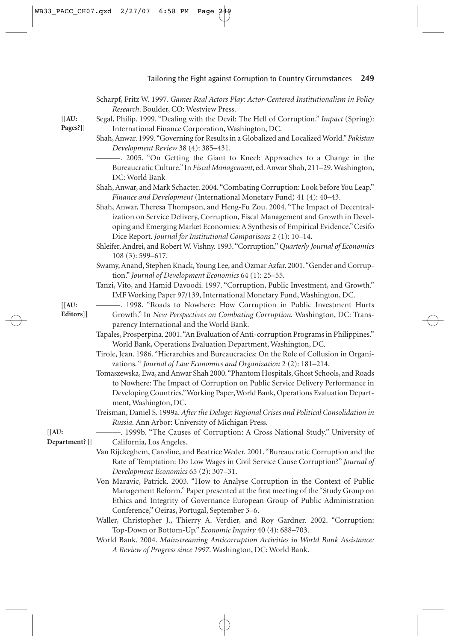|                                                         | Scharpf, Fritz W. 1997. Games Real Actors Play: Actor-Centered Institutionalism in Policy                                                                          |
|---------------------------------------------------------|--------------------------------------------------------------------------------------------------------------------------------------------------------------------|
|                                                         | Research. Boulder, CO: Westview Press.                                                                                                                             |
| $[$ [ $AU$ :                                            | Segal, Philip. 1999. "Dealing with the Devil: The Hell of Corruption." Impact (Spring):                                                                            |
| Pages?]]                                                | International Finance Corporation, Washington, DC.                                                                                                                 |
|                                                         | Shah, Anwar. 1999. "Governing for Results in a Globalized and Localized World." Pakistan                                                                           |
|                                                         | Development Review 38 (4): 385-431.                                                                                                                                |
|                                                         | -. 2005. "On Getting the Giant to Kneel: Approaches to a Change in the                                                                                             |
|                                                         | Bureaucratic Culture." In Fiscal Management, ed. Anwar Shah, 211-29. Washington,                                                                                   |
|                                                         | DC: World Bank                                                                                                                                                     |
|                                                         | Shah, Anwar, and Mark Schacter. 2004. "Combating Corruption: Look before You Leap."                                                                                |
|                                                         | Finance and Development (International Monetary Fund) 41 (4): 40-43.                                                                                               |
|                                                         | Shah, Anwar, Theresa Thompson, and Heng-Fu Zou. 2004. "The Impact of Decentral-                                                                                    |
|                                                         | ization on Service Delivery, Corruption, Fiscal Management and Growth in Devel-<br>oping and Emerging Market Economies: A Synthesis of Empirical Evidence." Cesifo |
|                                                         | Dice Report. Journal for Institutional Comparisons 2 (1): 10-14.                                                                                                   |
|                                                         | Shleifer, Andrei, and Robert W. Vishny. 1993. "Corruption." Quarterly Journal of Economics<br>108 (3): 599-617.                                                    |
|                                                         | Swamy, Anand, Stephen Knack, Young Lee, and Ozmar Azfar. 2001. "Gender and Corrup-                                                                                 |
|                                                         | tion." Journal of Development Economics 64 (1): 25-55.                                                                                                             |
|                                                         | Tanzi, Vito, and Hamid Davoodi. 1997. "Corruption, Public Investment, and Growth."                                                                                 |
|                                                         | IMF Working Paper 97/139, International Monetary Fund, Washington, DC.                                                                                             |
| $[$ [ $AU$ :                                            | -. 1998. "Roads to Nowhere: How Corruption in Public Investment Hurts                                                                                              |
| Editors]]                                               | Growth." In New Perspectives on Combating Corruption. Washington, DC: Trans-                                                                                       |
|                                                         | parency International and the World Bank.                                                                                                                          |
|                                                         | Tapales, Prosperpina. 2001. "An Evaluation of Anti-corruption Programs in Philippines."                                                                            |
|                                                         | World Bank, Operations Evaluation Department, Washington, DC.                                                                                                      |
|                                                         | Tirole, Jean. 1986. "Hierarchies and Bureaucracies: On the Role of Collusion in Organi-                                                                            |
|                                                         | zations. "Journal of Law Economics and Organization 2 (2): 181-214.                                                                                                |
|                                                         | Tomaszewska, Ewa, and Anwar Shah 2000. "Phantom Hospitals, Ghost Schools, and Roads                                                                                |
|                                                         | to Nowhere: The Impact of Corruption on Public Service Delivery Performance in                                                                                     |
|                                                         | Developing Countries." Working Paper, World Bank, Operations Evaluation Depart-                                                                                    |
|                                                         | ment, Washington, DC.                                                                                                                                              |
|                                                         | Treisman, Daniel S. 1999a. After the Deluge: Regional Crises and Political Consolidation in                                                                        |
|                                                         | Russia. Ann Arbor: University of Michigan Press.                                                                                                                   |
| $\overline{\phantom{a}}$ [ $\overline{\phantom{a}}$ AU: | -. 1999b. "The Causes of Corruption: A Cross National Study." University of                                                                                        |
| Department?]]                                           | California, Los Angeles.                                                                                                                                           |
|                                                         | Van Rijckeghem, Caroline, and Beatrice Weder. 2001. "Bureaucratic Corruption and the                                                                               |
|                                                         | Rate of Temptation: Do Low Wages in Civil Service Cause Corruption?" Journal of                                                                                    |
|                                                         | Development Economics 65 (2): 307–31.                                                                                                                              |
|                                                         | Von Maravic, Patrick. 2003. "How to Analyse Corruption in the Context of Public                                                                                    |
|                                                         | Management Reform." Paper presented at the first meeting of the "Study Group on                                                                                    |
|                                                         | Ethics and Integrity of Governance European Group of Public Administration                                                                                         |
|                                                         | Conference," Oeiras, Portugal, September 3-6.                                                                                                                      |
|                                                         | Waller, Christopher J., Thierry A. Verdier, and Roy Gardner. 2002. "Corruption:                                                                                    |
|                                                         | Top-Down or Bottom-Up." Economic Inquiry 40 (4): 688-703.                                                                                                          |
|                                                         | World Bank. 2004. Mainstreaming Anticorruption Activities in World Bank Assistance:                                                                                |
|                                                         | A Review of Progress since 1997. Washington, DC: World Bank.                                                                                                       |